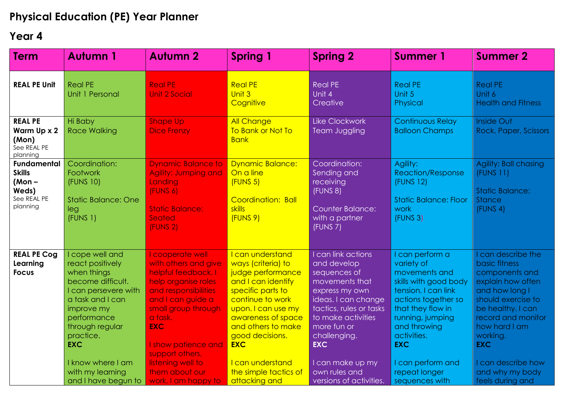## **Physical Education (PE) Year Planner**

## **Year 4**

| <b>Term</b>                                                                         | <b>Autumn 1</b>                                                                                                                                                                                                                                                | <b>Autumn 2</b>                                                                                                                                                                                                                                                                             | <b>Spring 1</b>                                                                                                                                                                                                                                                                             | <b>Spring 2</b>                                                                                                                                                                                                                                                            | <b>Summer 1</b>                                                                                                                                                                                                                                                 | <b>Summer 2</b>                                                                                                                                                                                                                                                     |
|-------------------------------------------------------------------------------------|----------------------------------------------------------------------------------------------------------------------------------------------------------------------------------------------------------------------------------------------------------------|---------------------------------------------------------------------------------------------------------------------------------------------------------------------------------------------------------------------------------------------------------------------------------------------|---------------------------------------------------------------------------------------------------------------------------------------------------------------------------------------------------------------------------------------------------------------------------------------------|----------------------------------------------------------------------------------------------------------------------------------------------------------------------------------------------------------------------------------------------------------------------------|-----------------------------------------------------------------------------------------------------------------------------------------------------------------------------------------------------------------------------------------------------------------|---------------------------------------------------------------------------------------------------------------------------------------------------------------------------------------------------------------------------------------------------------------------|
| <b>REAL PE Unit</b>                                                                 | <b>Real PE</b><br>Unit 1 Personal                                                                                                                                                                                                                              | <b>Real PE</b><br><b>Unit 2 Social</b>                                                                                                                                                                                                                                                      | <b>Real PE</b><br>Unit 3<br>Cognitive                                                                                                                                                                                                                                                       | <b>Real PE</b><br>Unit 4<br>Creative                                                                                                                                                                                                                                       | <b>Real PE</b><br>Unit 5<br>Physical                                                                                                                                                                                                                            | <b>Real PE</b><br>Unit 6<br><b>Health and Fitness</b>                                                                                                                                                                                                               |
| <b>REAL PE</b><br>Warm Up x 2<br>(Mon)<br>See REAL PE<br>planning                   | Hi Baby<br><b>Race Walking</b>                                                                                                                                                                                                                                 | <b>Shape Up</b><br><b>Dice Frenzy</b>                                                                                                                                                                                                                                                       | <b>All Change</b><br>To Bank or Not To<br><b>Bank</b>                                                                                                                                                                                                                                       | <b>Like Clockwork</b><br><b>Team Juggling</b>                                                                                                                                                                                                                              | <b>Continuous Relay</b><br><b>Balloon Champs</b>                                                                                                                                                                                                                | <b>Inside Out</b><br>Rock, Paper, Scissors                                                                                                                                                                                                                          |
| <b>Fundamental</b><br><b>Skills</b><br>$(Mon -$<br>Weds)<br>See REAL PE<br>planning | Coordination:<br>Footwork<br>(FUNS 10)<br><b>Static Balance: One</b><br>leg<br>(FUNS 1)                                                                                                                                                                        | <b>Dynamic Balance to</b><br>Agility: Jumping and<br>Landing<br>(FUNS 6)<br><b>Static Balance:</b><br>Seated<br>(FUNS 2)                                                                                                                                                                    | <b>Dynamic Balance:</b><br>On a line<br>(FUNS 5)<br>Coordination: Ball<br>skills<br>(FUNS 9)                                                                                                                                                                                                | Coordination:<br>Sending and<br>receiving<br>(FUNS 8)<br><b>Counter Balance:</b><br>with a partner<br>(FUNS 7)                                                                                                                                                             | Agility:<br><b>Reaction/Response</b><br>(FUNS 12)<br><b>Static Balance: Floor</b><br>work<br>(FUNS 3)                                                                                                                                                           | Agility: Ball chasing<br>(FUNS 11)<br><b>Static Balance:</b><br><b>Stance</b><br>(FUNS 4)                                                                                                                                                                           |
| <b>REAL PE Cog</b><br>Learning<br><b>Focus</b>                                      | I cope well and<br>react positively<br>when things<br>become difficult.<br>I can persevere with<br>a task and I can<br>improve my<br>performance<br>through regular<br>practice.<br><b>EXC</b><br>I know where I am<br>with my learning<br>and I have begun to | I cooperate well<br>with others and give<br>helpful feedback. I<br>help organise roles<br>and responsibilities<br>and I can guide a<br>small group through<br>a task.<br><b>EXC</b><br>I show patience and<br>support others,<br>listening well to<br>them about our<br>work. I am happy to | I can understand<br>ways (criteria) to<br>judge performance<br>and I can identify<br>specific parts to<br>continue to work<br>upon. I can use my<br>awareness of space<br>and others to make<br>good decisions.<br><b>EXC</b><br>I can understand<br>the simple tactics of<br>attacking and | I can link actions<br>and develop<br>sequences of<br>movements that<br>express my own<br>ideas. I can change<br>tactics, rules or tasks<br>to make activities<br>more fun or<br>challenging.<br><b>EXC</b><br>I can make up my<br>own rules and<br>versions of activities. | can perform a<br>variety of<br>movements and<br>skills with good body<br>tension. I can link<br>actions together so<br>that they flow in<br>running, jumping<br>and throwing<br>activities.<br><b>EXC</b><br>can perform and<br>repeat longer<br>sequences with | I can describe the<br>basic fitness<br>components and<br>explain how often<br>and how long I<br>should exercise to<br>be healthy. I can<br>record and monitor<br>how hard I am<br>working.<br><b>EXC</b><br>can describe how<br>and why my body<br>feels during and |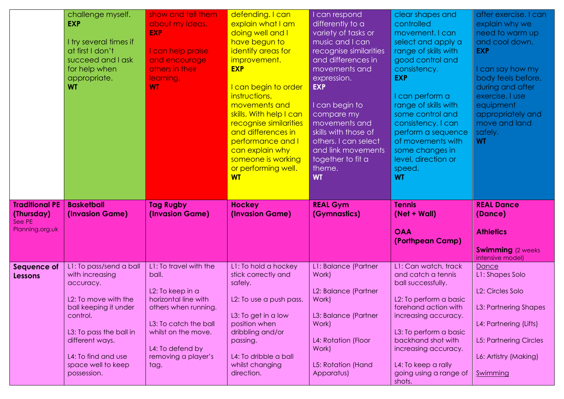|                                                                  | challenge myself.<br><b>EXP</b><br>I try several times if<br>at first I don't<br>succeed and I ask<br>for help when<br>appropriate.<br><b>WT</b>                                                                               | show and tell them<br>about my ideas.<br><b>EXP</b><br>I can help praise<br>and encourage<br>others in their<br>learning.<br><b>WT</b>                                                                 | defending. I can<br>explain what I am<br>doing well and I<br>have begun to<br>identify areas for<br>improvement.<br><b>EXP</b><br>I can begin to order<br>instructions,<br>movements and<br>skills. With help I can<br>recognise similarities<br>and differences in<br>performance and I<br>can explain why<br>someone is working<br>or performing well.<br><b>WT</b> | I can respond<br>differently to a<br>variety of tasks or<br>music and I can<br>recognise similarities<br>and differences in<br>movements and<br>expression.<br><b>EXP</b><br>I can begin to<br>compare my<br>movements and<br>skills with those of<br>others. I can select<br>and link movements<br>together to fit a<br>theme.<br><b>WT</b> | clear shapes and<br>controlled<br>movement. I can<br>select and apply a<br>range of skills with<br>good control and<br>consistency.<br><b>EXP</b><br>I can perform a<br>range of skills with<br>some control and<br>consistency. I can<br>perform a sequence<br>of movements with<br>some changes in<br>level, direction or<br>speed.<br><b>WT</b> | after exercise. I can<br>explain why we<br>need to warm up<br>and cool down.<br><b>EXP</b><br>I can say how my<br>body feels before,<br>during and after<br>exercise. I use<br>equipment<br>appropriately and<br>move and land<br>safely.<br><b>WT</b> |
|------------------------------------------------------------------|--------------------------------------------------------------------------------------------------------------------------------------------------------------------------------------------------------------------------------|--------------------------------------------------------------------------------------------------------------------------------------------------------------------------------------------------------|-----------------------------------------------------------------------------------------------------------------------------------------------------------------------------------------------------------------------------------------------------------------------------------------------------------------------------------------------------------------------|----------------------------------------------------------------------------------------------------------------------------------------------------------------------------------------------------------------------------------------------------------------------------------------------------------------------------------------------|----------------------------------------------------------------------------------------------------------------------------------------------------------------------------------------------------------------------------------------------------------------------------------------------------------------------------------------------------|--------------------------------------------------------------------------------------------------------------------------------------------------------------------------------------------------------------------------------------------------------|
| <b>Traditional PE</b><br>(Thursday)<br>See PE<br>Planning.org.uk | <b>Basketball</b><br>(Invasion Game)                                                                                                                                                                                           | <b>Tag Rugby</b><br>(Invasion Game)                                                                                                                                                                    | <b>Hockey</b><br>(Invasion Game)                                                                                                                                                                                                                                                                                                                                      | <b>REAL Gym</b><br>(Gymnastics)                                                                                                                                                                                                                                                                                                              | <b>Tennis</b><br>(Net + Wall)<br><b>OAA</b><br>(Porthpean Camp)                                                                                                                                                                                                                                                                                    | <b>REAL Dance</b><br>(Dance)<br><b>Athletics</b><br><b>Swimming</b> (2 weeks)                                                                                                                                                                          |
| Sequence of<br>Lessons                                           | L1: To pass/send a ball<br>with increasing<br>accuracy.<br>L2: To move with the<br>ball keeping it under<br>control.<br>L3: To pass the ball in<br>different ways.<br>L4: To find and use<br>space well to keep<br>possession. | L1: To travel with the<br>ball.<br>L2: To keep in a<br>horizontal line with<br>others when running.<br>L3: To catch the ball<br>whilst on the move.<br>L4: To defend by<br>removing a player's<br>tag. | L1: To hold a hockey<br>stick correctly and<br>safely.<br>L2: To use a push pass.<br>L3: To get in a low<br>position when<br>dribbling and/or<br>passing.<br>L4: To dribble a ball<br>whilst changing<br>direction.                                                                                                                                                   | L1: Balance (Partner<br>Work)<br>L2: Balance (Partner<br>Work)<br>L3: Balance (Partner<br>Work)<br>L4: Rotation (Floor<br>Work)<br>L5: Rotation (Hand<br>Apparatus)                                                                                                                                                                          | L1: Can watch, track<br>and catch a tennis<br>ball successfully.<br>L2: To perform a basic<br>forehand action with<br>increasing accuracy.<br>L3: To perform a basic<br>backhand shot with<br>increasing accuracy.<br>L4: To keep a rally<br>going using a range of<br>shots.                                                                      | intensive model)<br>Dance<br>L1: Shapes Solo<br>L2: Circles Solo<br>L3: Partnering Shapes<br>L4: Partnering (Lifts)<br><b>L5: Partnering Circles</b><br>L6: Artistry (Making)<br>Swimming                                                              |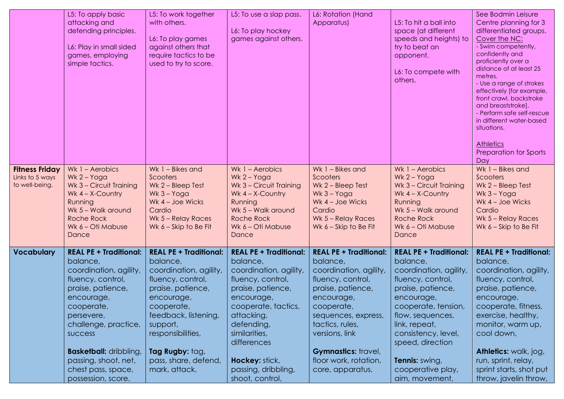|                                                            | L5: To apply basic<br>attacking and<br>defending principles.<br>L6: Play in small sided<br>games, employing<br>simple tactics.                                                                                                                      | L5: To work together<br>with others.<br>L6: To play games<br>against others that<br>require tactics to be<br>used to try to score.                                                                                                            | L5: To use a slap pass.<br>L6: To play hockey<br>games against others.                                                                                                                                                           | L6: Rotation (Hand<br>Apparatus)                                                                                                                                                                                                                      | L5: To hit a ball into<br>space (at different<br>speeds and heights) to<br>try to beat an<br>opponent.<br>L6: To compete with<br>others.                                                                                                             | See Bodmin Leisure<br>Centre planning for 3<br>differentiated groups.<br>Cover the NC:<br>- Swim competently,<br>confidently and<br>proficiently over a<br>distance of at least 25<br>metres.<br>- Use a range of strokes<br>effectively [for example,<br>front crawl, backstroke<br>and breaststroke].<br>- Perform safe self-rescue<br>in different water-based<br>situations. |
|------------------------------------------------------------|-----------------------------------------------------------------------------------------------------------------------------------------------------------------------------------------------------------------------------------------------------|-----------------------------------------------------------------------------------------------------------------------------------------------------------------------------------------------------------------------------------------------|----------------------------------------------------------------------------------------------------------------------------------------------------------------------------------------------------------------------------------|-------------------------------------------------------------------------------------------------------------------------------------------------------------------------------------------------------------------------------------------------------|------------------------------------------------------------------------------------------------------------------------------------------------------------------------------------------------------------------------------------------------------|----------------------------------------------------------------------------------------------------------------------------------------------------------------------------------------------------------------------------------------------------------------------------------------------------------------------------------------------------------------------------------|
| <b>Fitness Friday</b><br>Links to 5 ways<br>to well-being. | Wk 1 - Aerobics<br>$Wk 2 - Yoga$<br>Wk 3 - Circuit Training<br>Wk $4 - X$ -Country<br>Running<br>Wk 5 - Walk around<br><b>Roche Rock</b><br>Wk 6 - Oti Mabuse<br>Dance                                                                              | Wk $1 - B$ ikes and<br>Scooters<br>Wk 2 - Bleep Test<br>$Wk$ 3 – Yoga<br>Wk 4 - Joe Wicks<br>Cardio<br>Wk 5 - Relay Races<br>Wk $6 -$ Skip to Be Fit                                                                                          | Wk $1 -$ Aerobics<br>$Wk 2 - Yoga$<br>Wk 3 - Circuit Training<br>Wk $4 - X$ -Country<br>Running<br>Wk 5 - Walk around<br><b>Roche Rock</b><br>Wk 6 - Oti Mabuse<br>Dance                                                         | Wk 1 - Bikes and<br>Scooters<br>Wk 2 - Bleep Test<br>$Wk$ 3 – Yoga<br>Wk $4 - Joe Wicks$<br>Cardio<br>Wk 5 - Relay Races<br>Wk $6 -$ Skip to Be Fit                                                                                                   | Wk $1 -$ Aerobics<br>Wk $2 - Y$ oga<br>Wk 3 - Circuit Training<br>Wk $4 - X$ -Country<br>Running<br>Wk 5 - Walk around<br><b>Roche Rock</b><br>Wk 6 - Oti Mabuse<br>Dance                                                                            | <b>Athletics</b><br>Preparation for Sports<br>Day<br>Wk 1 - Bikes and<br>Scooters<br>Wk 2 - Bleep Test<br>Wk $3 - Y$ oga<br>Wk 4 - Joe Wicks<br>Cardio<br>Wk 5 - Relay Races<br>Wk $6 -$ Skip to Be Fit                                                                                                                                                                          |
| <b>Vocabulary</b>                                          | <b>REAL PE + Traditional:</b><br>balance,<br>coordination, agility,<br>fluency, control,<br>praise, patience,<br>encourage,<br>cooperate,<br>persevere,<br>challenge, practice,<br>success<br><b>Basketball: dribbling,</b><br>passing, shoot, net, | <b>REAL PE + Traditional:</b><br>balance,<br>coordination, agility,<br>fluency, control,<br>praise, patience,<br>encourage,<br>cooperate,<br>feedback, listening,<br>support,<br>responsibilities,<br>Tag Rugby: tag,<br>pass, share, defend, | <b>REAL PE + Traditional:</b><br>balance,<br>coordination, agility,<br>fluency, control,<br>praise, patience,<br>encourage,<br>cooperate, tactics,<br>attacking,<br>defending,<br>similarities,<br>differences<br>Hockey: stick, | <b>REAL PE + Traditional:</b><br>balance,<br>coordination, agility,<br>fluency, control,<br>praise, patience,<br>encourage,<br>cooperate,<br>sequences, express,<br>tactics, rules,<br>versions, link<br>Gymnastics: travel,<br>floor work, rotation, | <b>REAL PE + Traditional:</b><br>balance,<br>coordination, agility,<br>fluency, control,<br>praise, patience,<br>encourage,<br>cooperate, tension,<br>flow, sequences,<br>link, repeat,<br>consistency, level,<br>speed, direction<br>Tennis: swing, | <b>REAL PE + Traditional:</b><br>balance,<br>coordination, agility,<br>fluency, control,<br>praise, patience,<br>encourage,<br>cooperate, fitness,<br>exercise, healthy,<br>monitor, warm up,<br>cool down,<br>Athletics: walk, jog,<br>run, sprint, relay,                                                                                                                      |
|                                                            | chest pass, space,<br>possession, score,                                                                                                                                                                                                            | mark, attack,                                                                                                                                                                                                                                 | passing, dribbling,<br>shoot, control,                                                                                                                                                                                           | core, apparatus,                                                                                                                                                                                                                                      | cooperative play,<br>aim, movement,                                                                                                                                                                                                                  | sprint starts, shot put<br>throw, javelin throw,                                                                                                                                                                                                                                                                                                                                 |